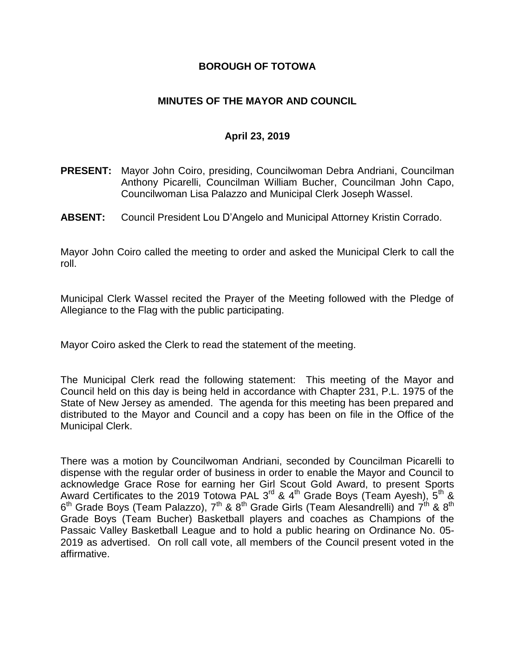### **BOROUGH OF TOTOWA**

### **MINUTES OF THE MAYOR AND COUNCIL**

### **April 23, 2019**

- **PRESENT:** Mayor John Coiro, presiding, Councilwoman Debra Andriani, Councilman Anthony Picarelli, Councilman William Bucher, Councilman John Capo, Councilwoman Lisa Palazzo and Municipal Clerk Joseph Wassel.
- **ABSENT:** Council President Lou D'Angelo and Municipal Attorney Kristin Corrado.

Mayor John Coiro called the meeting to order and asked the Municipal Clerk to call the roll.

Municipal Clerk Wassel recited the Prayer of the Meeting followed with the Pledge of Allegiance to the Flag with the public participating.

Mayor Coiro asked the Clerk to read the statement of the meeting.

The Municipal Clerk read the following statement: This meeting of the Mayor and Council held on this day is being held in accordance with Chapter 231, P.L. 1975 of the State of New Jersey as amended. The agenda for this meeting has been prepared and distributed to the Mayor and Council and a copy has been on file in the Office of the Municipal Clerk.

There was a motion by Councilwoman Andriani, seconded by Councilman Picarelli to dispense with the regular order of business in order to enable the Mayor and Council to acknowledge Grace Rose for earning her Girl Scout Gold Award, to present Sports Award Certificates to the 2019 Totowa PAL 3<sup>rd</sup> & 4<sup>th</sup> Grade Boys (Team Ayesh), 5<sup>th</sup> &  $6^{\text{th}}$  Grade Boys (Team Palazzo), 7<sup>th</sup> & 8<sup>th</sup> Grade Girls (Team Alesandrelli) and 7<sup>th</sup> & 8<sup>th</sup> Grade Boys (Team Bucher) Basketball players and coaches as Champions of the Passaic Valley Basketball League and to hold a public hearing on Ordinance No. 05- 2019 as advertised. On roll call vote, all members of the Council present voted in the affirmative.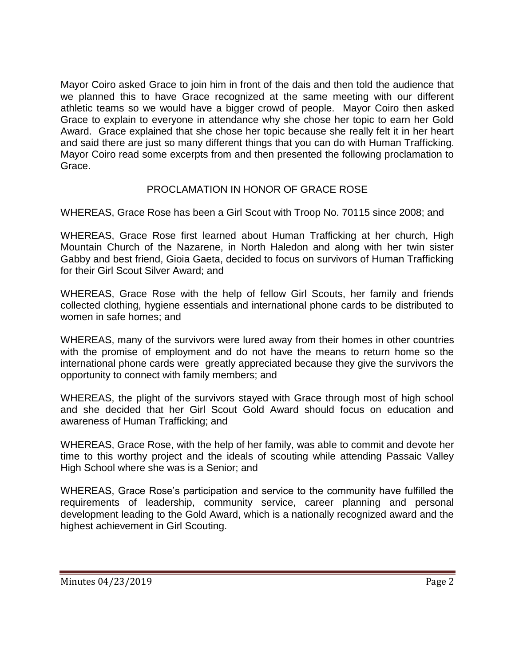Mayor Coiro asked Grace to join him in front of the dais and then told the audience that we planned this to have Grace recognized at the same meeting with our different athletic teams so we would have a bigger crowd of people. Mayor Coiro then asked Grace to explain to everyone in attendance why she chose her topic to earn her Gold Award. Grace explained that she chose her topic because she really felt it in her heart and said there are just so many different things that you can do with Human Trafficking. Mayor Coiro read some excerpts from and then presented the following proclamation to Grace.

# PROCLAMATION IN HONOR OF GRACE ROSE

WHEREAS, Grace Rose has been a Girl Scout with Troop No. 70115 since 2008; and

WHEREAS, Grace Rose first learned about Human Trafficking at her church, High Mountain Church of the Nazarene, in North Haledon and along with her twin sister Gabby and best friend, Gioia Gaeta, decided to focus on survivors of Human Trafficking for their Girl Scout Silver Award; and

WHEREAS, Grace Rose with the help of fellow Girl Scouts, her family and friends collected clothing, hygiene essentials and international phone cards to be distributed to women in safe homes; and

WHEREAS, many of the survivors were lured away from their homes in other countries with the promise of employment and do not have the means to return home so the international phone cards were greatly appreciated because they give the survivors the opportunity to connect with family members; and

WHEREAS, the plight of the survivors stayed with Grace through most of high school and she decided that her Girl Scout Gold Award should focus on education and awareness of Human Trafficking; and

WHEREAS, Grace Rose, with the help of her family, was able to commit and devote her time to this worthy project and the ideals of scouting while attending Passaic Valley High School where she was is a Senior; and

WHEREAS, Grace Rose's participation and service to the community have fulfilled the requirements of leadership, community service, career planning and personal development leading to the Gold Award, which is a nationally recognized award and the highest achievement in Girl Scouting.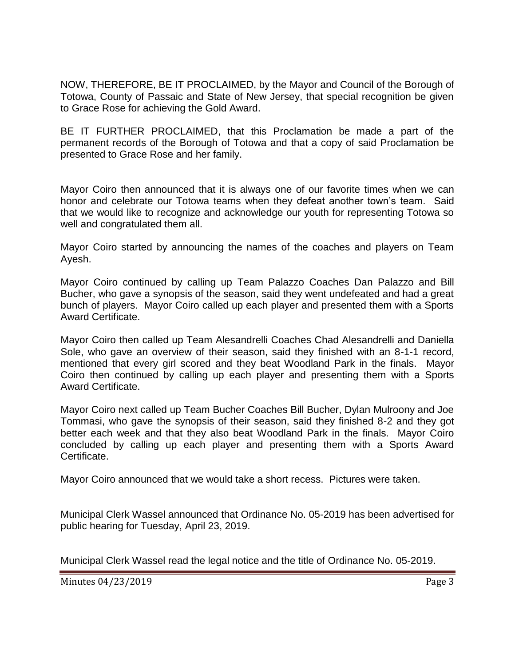NOW, THEREFORE, BE IT PROCLAIMED, by the Mayor and Council of the Borough of Totowa, County of Passaic and State of New Jersey, that special recognition be given to Grace Rose for achieving the Gold Award.

BE IT FURTHER PROCLAIMED, that this Proclamation be made a part of the permanent records of the Borough of Totowa and that a copy of said Proclamation be presented to Grace Rose and her family.

Mayor Coiro then announced that it is always one of our favorite times when we can honor and celebrate our Totowa teams when they defeat another town's team. Said that we would like to recognize and acknowledge our youth for representing Totowa so well and congratulated them all.

Mayor Coiro started by announcing the names of the coaches and players on Team Ayesh.

Mayor Coiro continued by calling up Team Palazzo Coaches Dan Palazzo and Bill Bucher, who gave a synopsis of the season, said they went undefeated and had a great bunch of players. Mayor Coiro called up each player and presented them with a Sports Award Certificate.

Mayor Coiro then called up Team Alesandrelli Coaches Chad Alesandrelli and Daniella Sole, who gave an overview of their season, said they finished with an 8-1-1 record, mentioned that every girl scored and they beat Woodland Park in the finals. Mayor Coiro then continued by calling up each player and presenting them with a Sports Award Certificate.

Mayor Coiro next called up Team Bucher Coaches Bill Bucher, Dylan Mulroony and Joe Tommasi, who gave the synopsis of their season, said they finished 8-2 and they got better each week and that they also beat Woodland Park in the finals. Mayor Coiro concluded by calling up each player and presenting them with a Sports Award Certificate.

Mayor Coiro announced that we would take a short recess. Pictures were taken.

Municipal Clerk Wassel announced that Ordinance No. 05-2019 has been advertised for public hearing for Tuesday, April 23, 2019.

Municipal Clerk Wassel read the legal notice and the title of Ordinance No. 05-2019.

Minutes 04/23/2019 **Page 3**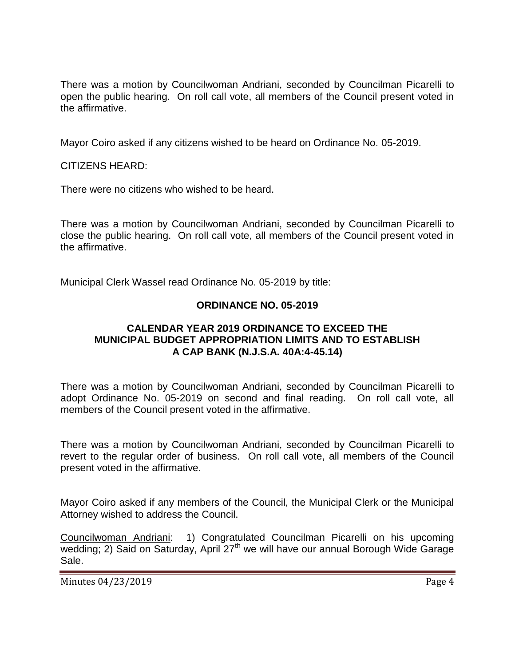There was a motion by Councilwoman Andriani, seconded by Councilman Picarelli to open the public hearing. On roll call vote, all members of the Council present voted in the affirmative.

Mayor Coiro asked if any citizens wished to be heard on Ordinance No. 05-2019.

CITIZENS HEARD:

There were no citizens who wished to be heard.

There was a motion by Councilwoman Andriani, seconded by Councilman Picarelli to close the public hearing. On roll call vote, all members of the Council present voted in the affirmative.

Municipal Clerk Wassel read Ordinance No. 05-2019 by title:

# **ORDINANCE NO. 05-2019**

### **CALENDAR YEAR 2019 ORDINANCE TO EXCEED THE MUNICIPAL BUDGET APPROPRIATION LIMITS AND TO ESTABLISH A CAP BANK (N.J.S.A. 40A:4-45.14)**

There was a motion by Councilwoman Andriani, seconded by Councilman Picarelli to adopt Ordinance No. 05-2019 on second and final reading. On roll call vote, all members of the Council present voted in the affirmative.

There was a motion by Councilwoman Andriani, seconded by Councilman Picarelli to revert to the regular order of business. On roll call vote, all members of the Council present voted in the affirmative.

Mayor Coiro asked if any members of the Council, the Municipal Clerk or the Municipal Attorney wished to address the Council.

Councilwoman Andriani: 1) Congratulated Councilman Picarelli on his upcoming wedding; 2) Said on Saturday, April 27<sup>th</sup> we will have our annual Borough Wide Garage Sale.

Minutes 04/23/2019 Page 4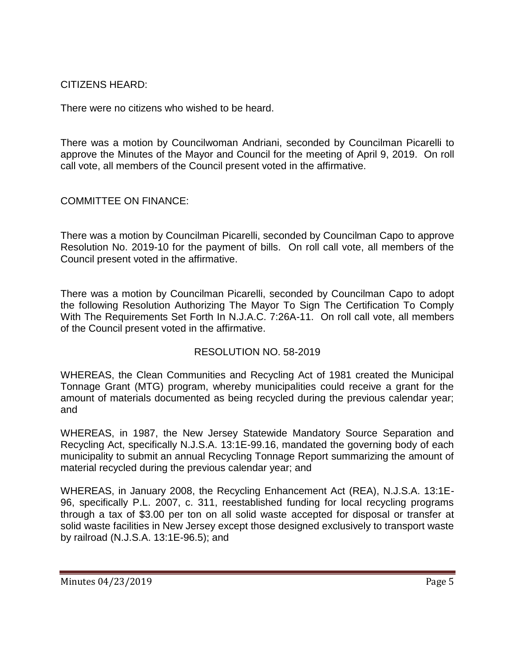CITIZENS HEARD:

There were no citizens who wished to be heard.

There was a motion by Councilwoman Andriani, seconded by Councilman Picarelli to approve the Minutes of the Mayor and Council for the meeting of April 9, 2019. On roll call vote, all members of the Council present voted in the affirmative.

COMMITTEE ON FINANCE:

There was a motion by Councilman Picarelli, seconded by Councilman Capo to approve Resolution No. 2019-10 for the payment of bills. On roll call vote, all members of the Council present voted in the affirmative.

There was a motion by Councilman Picarelli, seconded by Councilman Capo to adopt the following Resolution Authorizing The Mayor To Sign The Certification To Comply With The Requirements Set Forth In N.J.A.C. 7:26A-11. On roll call vote, all members of the Council present voted in the affirmative.

# RESOLUTION NO. 58-2019

WHEREAS, the Clean Communities and Recycling Act of 1981 created the Municipal Tonnage Grant (MTG) program, whereby municipalities could receive a grant for the amount of materials documented as being recycled during the previous calendar year; and

WHEREAS, in 1987, the New Jersey Statewide Mandatory Source Separation and Recycling Act, specifically N.J.S.A. 13:1E-99.16, mandated the governing body of each municipality to submit an annual Recycling Tonnage Report summarizing the amount of material recycled during the previous calendar year; and

WHEREAS, in January 2008, the Recycling Enhancement Act (REA), N.J.S.A. 13:1E-96, specifically P.L. 2007, c. 311, reestablished funding for local recycling programs through a tax of \$3.00 per ton on all solid waste accepted for disposal or transfer at solid waste facilities in New Jersey except those designed exclusively to transport waste by railroad (N.J.S.A. 13:1E-96.5); and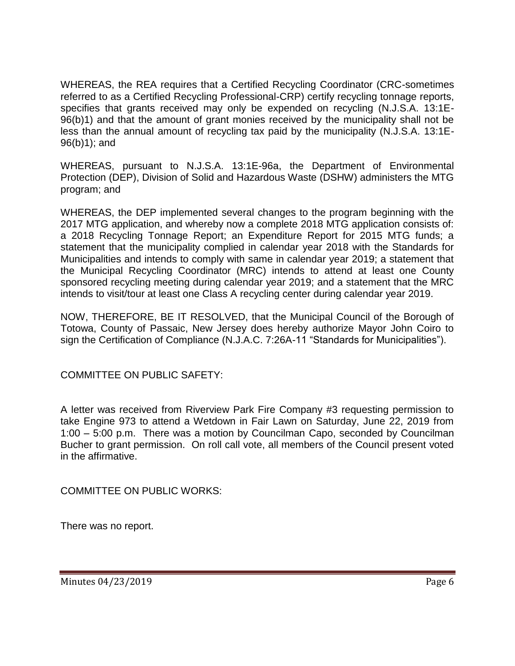WHEREAS, the REA requires that a Certified Recycling Coordinator (CRC-sometimes referred to as a Certified Recycling Professional-CRP) certify recycling tonnage reports, specifies that grants received may only be expended on recycling (N.J.S.A. 13:1E-96(b)1) and that the amount of grant monies received by the municipality shall not be less than the annual amount of recycling tax paid by the municipality (N.J.S.A. 13:1E-96(b)1); and

WHEREAS, pursuant to N.J.S.A. 13:1E-96a, the Department of Environmental Protection (DEP), Division of Solid and Hazardous Waste (DSHW) administers the MTG program; and

WHEREAS, the DEP implemented several changes to the program beginning with the 2017 MTG application, and whereby now a complete 2018 MTG application consists of: a 2018 Recycling Tonnage Report; an Expenditure Report for 2015 MTG funds; a statement that the municipality complied in calendar year 2018 with the Standards for Municipalities and intends to comply with same in calendar year 2019; a statement that the Municipal Recycling Coordinator (MRC) intends to attend at least one County sponsored recycling meeting during calendar year 2019; and a statement that the MRC intends to visit/tour at least one Class A recycling center during calendar year 2019.

NOW, THEREFORE, BE IT RESOLVED, that the Municipal Council of the Borough of Totowa, County of Passaic, New Jersey does hereby authorize Mayor John Coiro to sign the Certification of Compliance (N.J.A.C. 7:26A-11 "Standards for Municipalities").

COMMITTEE ON PUBLIC SAFETY:

A letter was received from Riverview Park Fire Company #3 requesting permission to take Engine 973 to attend a Wetdown in Fair Lawn on Saturday, June 22, 2019 from 1:00 – 5:00 p.m. There was a motion by Councilman Capo, seconded by Councilman Bucher to grant permission. On roll call vote, all members of the Council present voted in the affirmative.

COMMITTEE ON PUBLIC WORKS:

There was no report.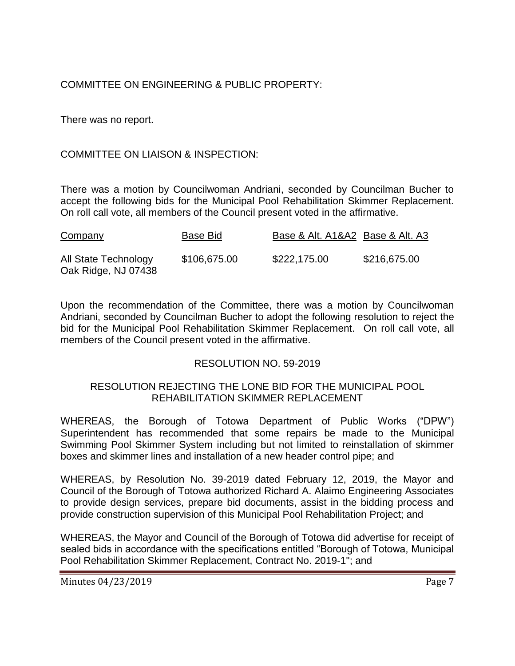# COMMITTEE ON ENGINEERING & PUBLIC PROPERTY:

There was no report.

# COMMITTEE ON LIAISON & INSPECTION:

There was a motion by Councilwoman Andriani, seconded by Councilman Bucher to accept the following bids for the Municipal Pool Rehabilitation Skimmer Replacement. On roll call vote, all members of the Council present voted in the affirmative.

| Company                                     | Base Bid     | Base & Alt. A1&A2 Base & Alt. A3 |              |
|---------------------------------------------|--------------|----------------------------------|--------------|
| All State Technology<br>Oak Ridge, NJ 07438 | \$106,675.00 | \$222,175.00                     | \$216,675.00 |

Upon the recommendation of the Committee, there was a motion by Councilwoman Andriani, seconded by Councilman Bucher to adopt the following resolution to reject the bid for the Municipal Pool Rehabilitation Skimmer Replacement. On roll call vote, all members of the Council present voted in the affirmative.

#### RESOLUTION NO. 59-2019

### RESOLUTION REJECTING THE LONE BID FOR THE MUNICIPAL POOL REHABILITATION SKIMMER REPLACEMENT

WHEREAS, the Borough of Totowa Department of Public Works ("DPW") Superintendent has recommended that some repairs be made to the Municipal Swimming Pool Skimmer System including but not limited to reinstallation of skimmer boxes and skimmer lines and installation of a new header control pipe; and

WHEREAS, by Resolution No. 39-2019 dated February 12, 2019, the Mayor and Council of the Borough of Totowa authorized Richard A. Alaimo Engineering Associates to provide design services, prepare bid documents, assist in the bidding process and provide construction supervision of this Municipal Pool Rehabilitation Project; and

WHEREAS, the Mayor and Council of the Borough of Totowa did advertise for receipt of sealed bids in accordance with the specifications entitled "Borough of Totowa, Municipal Pool Rehabilitation Skimmer Replacement, Contract No. 2019-1"; and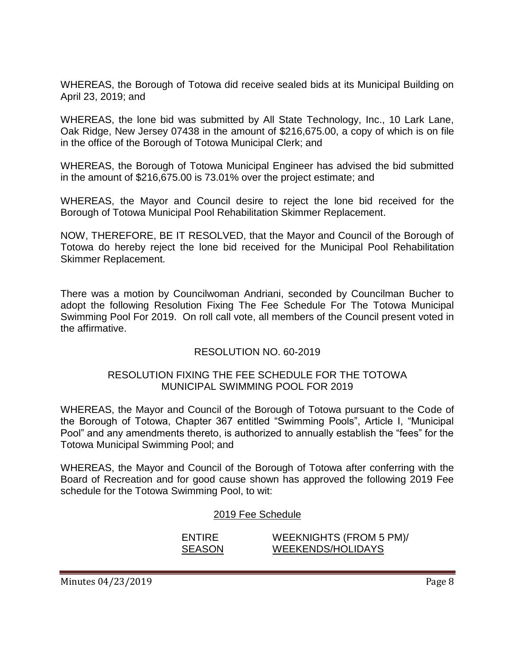WHEREAS, the Borough of Totowa did receive sealed bids at its Municipal Building on April 23, 2019; and

WHEREAS, the lone bid was submitted by All State Technology, Inc., 10 Lark Lane, Oak Ridge, New Jersey 07438 in the amount of \$216,675.00, a copy of which is on file in the office of the Borough of Totowa Municipal Clerk; and

WHEREAS, the Borough of Totowa Municipal Engineer has advised the bid submitted in the amount of \$216,675.00 is 73.01% over the project estimate; and

WHEREAS, the Mayor and Council desire to reject the lone bid received for the Borough of Totowa Municipal Pool Rehabilitation Skimmer Replacement.

NOW, THEREFORE, BE IT RESOLVED, that the Mayor and Council of the Borough of Totowa do hereby reject the lone bid received for the Municipal Pool Rehabilitation Skimmer Replacement.

There was a motion by Councilwoman Andriani, seconded by Councilman Bucher to adopt the following Resolution Fixing The Fee Schedule For The Totowa Municipal Swimming Pool For 2019. On roll call vote, all members of the Council present voted in the affirmative.

# RESOLUTION NO. 60-2019

#### RESOLUTION FIXING THE FEE SCHEDULE FOR THE TOTOWA MUNICIPAL SWIMMING POOL FOR 2019

WHEREAS, the Mayor and Council of the Borough of Totowa pursuant to the Code of the Borough of Totowa, Chapter 367 entitled "Swimming Pools", Article I, "Municipal Pool" and any amendments thereto, is authorized to annually establish the "fees" for the Totowa Municipal Swimming Pool; and

WHEREAS, the Mayor and Council of the Borough of Totowa after conferring with the Board of Recreation and for good cause shown has approved the following 2019 Fee schedule for the Totowa Swimming Pool, to wit:

#### 2019 Fee Schedule

# ENTIRE WEEKNIGHTS (FROM 5 PM)/ SEASON WEEKENDS/HOLIDAYS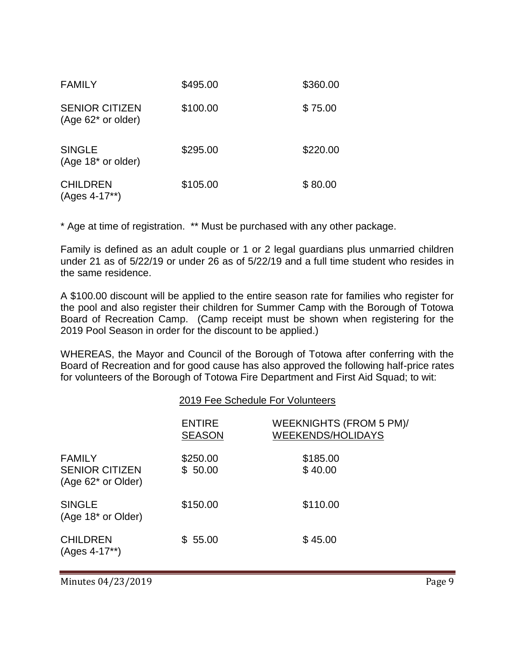| <b>FAMILY</b>                               | \$495.00 | \$360.00 |
|---------------------------------------------|----------|----------|
| <b>SENIOR CITIZEN</b><br>(Age 62* or older) | \$100.00 | \$75.00  |
| <b>SINGLE</b><br>$(Age 18* or older)$       | \$295.00 | \$220.00 |
| <b>CHILDREN</b><br>$(Ages 4-17**)$          | \$105.00 | \$80.00  |

\* Age at time of registration. \*\* Must be purchased with any other package.

Family is defined as an adult couple or 1 or 2 legal guardians plus unmarried children under 21 as of 5/22/19 or under 26 as of 5/22/19 and a full time student who resides in the same residence.

A \$100.00 discount will be applied to the entire season rate for families who register for the pool and also register their children for Summer Camp with the Borough of Totowa Board of Recreation Camp. (Camp receipt must be shown when registering for the 2019 Pool Season in order for the discount to be applied.)

WHEREAS, the Mayor and Council of the Borough of Totowa after conferring with the Board of Recreation and for good cause has also approved the following half-price rates for volunteers of the Borough of Totowa Fire Department and First Aid Squad; to wit:

|                                                                          | 2019 Fee Schedule For Volunteers |                                                     |  |
|--------------------------------------------------------------------------|----------------------------------|-----------------------------------------------------|--|
|                                                                          | <b>ENTIRE</b><br><b>SEASON</b>   | WEEKNIGHTS (FROM 5 PM)/<br><b>WEEKENDS/HOLIDAYS</b> |  |
| <b>FAMILY</b><br><b>SENIOR CITIZEN</b><br>(Age 62 <sup>*</sup> or Older) | \$250.00<br>\$50.00              | \$185.00<br>\$40.00                                 |  |
| <b>SINGLE</b><br>(Age 18 <sup>*</sup> or Older)                          | \$150.00                         | \$110.00                                            |  |
| <b>CHILDREN</b><br>(Ages 4-17**)                                         | \$55.00                          | \$45.00                                             |  |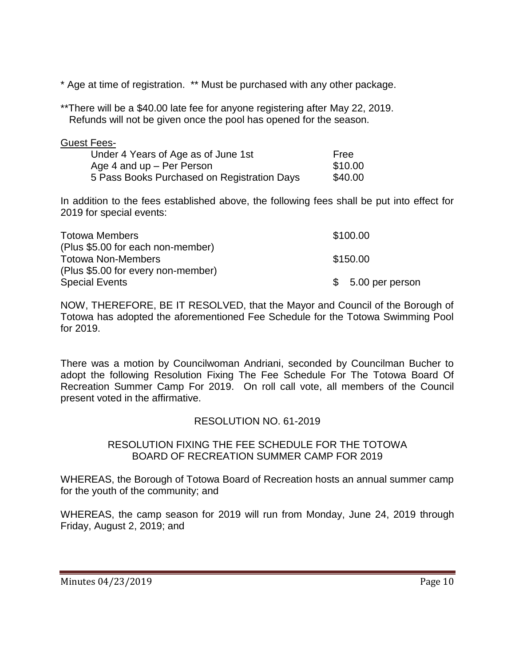\* Age at time of registration. \*\* Must be purchased with any other package.

\*\*There will be a \$40.00 late fee for anyone registering after May 22, 2019. Refunds will not be given once the pool has opened for the season.

| Guest Fees-                                 |         |
|---------------------------------------------|---------|
| Under 4 Years of Age as of June 1st         | Free    |
| Age 4 and $up$ – Per Person                 | \$10.00 |
| 5 Pass Books Purchased on Registration Days | \$40.00 |

In addition to the fees established above, the following fees shall be put into effect for 2019 for special events:

| <b>Totowa Members</b>              | \$100.00           |
|------------------------------------|--------------------|
| (Plus \$5.00 for each non-member)  |                    |
| <b>Totowa Non-Members</b>          | \$150.00           |
| (Plus \$5.00 for every non-member) |                    |
| <b>Special Events</b>              | $$5.00$ per person |

NOW, THEREFORE, BE IT RESOLVED, that the Mayor and Council of the Borough of Totowa has adopted the aforementioned Fee Schedule for the Totowa Swimming Pool for 2019.

There was a motion by Councilwoman Andriani, seconded by Councilman Bucher to adopt the following Resolution Fixing The Fee Schedule For The Totowa Board Of Recreation Summer Camp For 2019. On roll call vote, all members of the Council present voted in the affirmative.

# RESOLUTION NO. 61-2019

#### RESOLUTION FIXING THE FEE SCHEDULE FOR THE TOTOWA BOARD OF RECREATION SUMMER CAMP FOR 2019

WHEREAS, the Borough of Totowa Board of Recreation hosts an annual summer camp for the youth of the community; and

WHEREAS, the camp season for 2019 will run from Monday, June 24, 2019 through Friday, August 2, 2019; and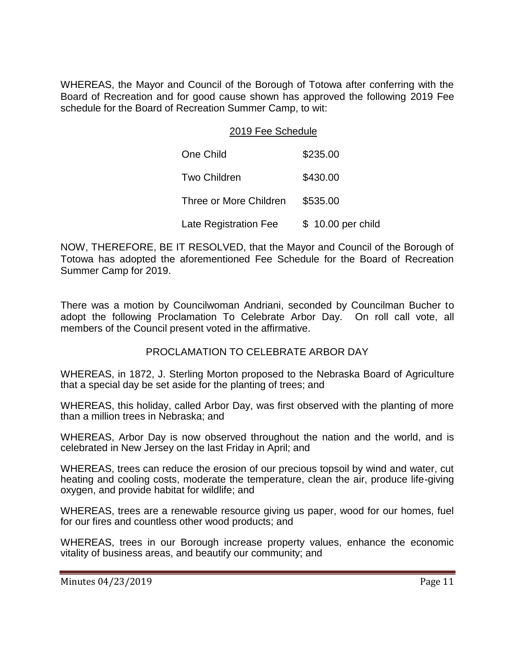WHEREAS, the Mayor and Council of the Borough of Totowa after conferring with the Board of Recreation and for good cause shown has approved the following 2019 Fee schedule for the Board of Recreation Summer Camp, to wit:

### 2019 Fee Schedule

| One Child              | \$235.00           |
|------------------------|--------------------|
| <b>Two Children</b>    | \$430.00           |
| Three or More Children | \$535.00           |
| Late Registration Fee  | \$ 10.00 per child |

NOW, THEREFORE, BE IT RESOLVED, that the Mayor and Council of the Borough of Totowa has adopted the aforementioned Fee Schedule for the Board of Recreation Summer Camp for 2019.

There was a motion by Councilwoman Andriani, seconded by Councilman Bucher to adopt the following Proclamation To Celebrate Arbor Day. On roll call vote, all members of the Council present voted in the affirmative.

# PROCLAMATION TO CELEBRATE ARBOR DAY

WHEREAS, in 1872, J. Sterling Morton proposed to the Nebraska Board of Agriculture that a special day be set aside for the planting of trees; and

WHEREAS, this holiday, called Arbor Day, was first observed with the planting of more than a million trees in Nebraska; and

WHEREAS, Arbor Day is now observed throughout the nation and the world, and is celebrated in New Jersey on the last Friday in April; and

WHEREAS, trees can reduce the erosion of our precious topsoil by wind and water, cut heating and cooling costs, moderate the temperature, clean the air, produce life-giving oxygen, and provide habitat for wildlife; and

WHEREAS, trees are a renewable resource giving us paper, wood for our homes, fuel for our fires and countless other wood products; and

WHEREAS, trees in our Borough increase property values, enhance the economic vitality of business areas, and beautify our community; and